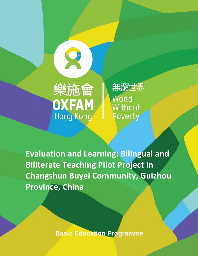

無窮世界 World Without Poverty

**Evaluation and Learning: Bilingual and Biliterate Teaching Pilot Project in Changshun Buyei Community, Guizhou Province, China**

í

**Basic Education Programme**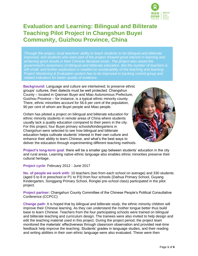

# **Evaluation and Learning: Bilingual and Biliterate Teaching Pilot Project in Changshun Buyei Community, Guizhou Province, China**

*Through the project, local teachers' ability to teach students to be bilingual and biliterate improved, and students who were part of the project showed great interest in learning and achieving good results in their Chinese literature exam. The project also raised the government's awareness of bilingual and biliterate education. But the number of teachers is still small, and further exploration is needed on sustainability of the teaching and learning. Project Monitoring & Evaluation system has to be improved in tracking control group and related indicators for better quality of evidence.* 

**Background:** Language and culture are intertwined; to preserve ethnic groups' cultures, their dialects must be well protected. Changshun County – located in Qiannan Buyei and Miao Autonomous Prefecture, Guizhou Province – for instance, is a typical ethnic minority county. There, ethnic minorities account for 56.6 per cent of the population, 90 per cent of whom are Buyei people and Miao people.

Oxfam has piloted a project on bilingual and biliterate education for ethnic minority students in remote areas of China where students usually lack a quality education compared to their peers in the city. For this project, four Buyei primary schools/kindergartens in Changshun were selected to see how bilingual and biliterate education helps cultivate students' interest in their own culture and enhance their ability to learn Chinese, and what's the best ways to deliver the education through experimenting different teaching methods.



**Project's long-term goal**: there will be a smaller gap between students' education in the city and rural areas. Learning native ethnic language also enables ethnic minorities preserve their cultural heritage.

## **Project cycle**: February 2012 - June 2017

**No. of people we work with:** 10 teachers (two from each school on average) and 330 students (aged 5 to 8 in preschool or P1 to P3) from four schools (Daihua Primary School, Guyang Kindergarten, Songgang Primary School, Ronglei pre-school class) participated in the pilot project.

**Project partner:** Changshun County Committee of the Chinese People's Political Consultative Conference (CCPCC)

**Change path:** It is hoped that by *bilingual and biliterate study*, the ethnic minority children will improve their Chinese learning. As they can understand the mother tongue better thus build base to learn Chinese. Teachers from the four participating schools were trained on bilingual and biliterate teaching and curriculum design. The trainees were also invited to help design and edit the teaching material used in this project. During the project period, the project team monitored the materials' effectiveness through classroom observation and provided real-time feedback help improve the teaching. Students' grades in language studies, and their reading and writing abilities in their own ethnic language were also evaluated. These were then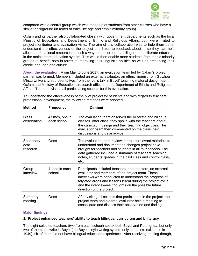

compared with a control group which was made up of students from other classes who have a similar background (in terms of traits like age and ethnic minority group).

Oxfam and its partner also collaborated closely with government departments such as the local Ministry of Education, and Department of Ethnic and Religious Affairs; both were invited to project monitoring and evaluation visits. The aim of this collaboration was to help them better understand the effectiveness of the project and listen to feedback about it, so they can help allocate educational resources in such a way that incorporates bilingual and biliterate education in the mainstream education system. This would then enable more students from ethnic minority groups to benefit both in terms of improving their linguistic abilities as well as preserving their ethnic language and culture.

**About the evaluation:** From May to June 2017, an evaluation team led by Oxfam's project partner was formed. Members included an external evaluator, an ethnic linguist from Guizhou Minzu University, representatives from the 'Let's talk in Buyei' teaching material design team, Oxfam, the Ministry of Education's research office and the Department of Ethnic and Religious Affairs. The team visited all participating schools for this evaluation.

| <b>Method</b>                 | <b>Frequency</b>               | Content                                                                                                                                                                                                                                                                                                                     |
|-------------------------------|--------------------------------|-----------------------------------------------------------------------------------------------------------------------------------------------------------------------------------------------------------------------------------------------------------------------------------------------------------------------------|
| <b>Class</b><br>observation   | 4 times, one in<br>each school | The evaluation team observed the biliterate and bilingual<br>classes. After class, they spoke with the teachers about<br>the curriculum design and their teaching objectives. The<br>evaluation team then commented on the class, held<br>discussions and gave advice.                                                      |
| Secondary<br>data<br>research | Once                           | The evaluation team reviewed project relevant materials to<br>understand and document the changes project have<br>brought for teachers and students in all four schools. The<br>data gathered included a summary of teachers' teaching<br>notes, students' grades in the pilot class and control class,<br>etc.             |
| Group<br>interview            | 4, one in each<br>school       | Participants included teachers, headmasters, an external<br>evaluator and members of the project team. These<br>interviews were conducted to understand the progress of<br>targeted areas and lessons learnt during the project cycle<br>and the interviewees' thoughts on the possible future<br>direction of the project. |
| Summary<br>meeting            | Once                           | After visiting all schools that participated in the project, the<br>project team and external evaluator held a meeting to<br>consolidate and discuss their observation and findings.                                                                                                                                        |

To understand the effectiveness of the pilot project for students and with regard to teachers' professional development, the following methods were adopted:

## **Major findings**

## **1. Project enhanced teachers' ability to teach bilingual curriculum and biliteracy**

The eight selected teachers (two from each school) speak both Buyei and Putonghua, but only two of them can write in Buyei (the Buyei pinyin writing system only came into existence in 1949); six of them did not have bilingual education experience. After receiving training though,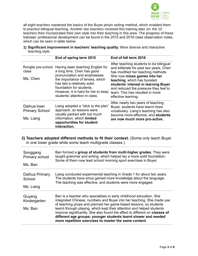

all eight teachers mastered the basics of the Buyei pinyin writing method, which enabled them to practice bilingual teaching. Another two teachers received this training later on; the 10 teachers then incorporated their own style into their teaching in this area. The progress of these trainees' professional development can be found in the 2015 and 2016 class observation notes, which can be seen in table below.

|                 | 1) Significant improvement in teachers' teaching quality: More diverse and interactive |
|-----------------|----------------------------------------------------------------------------------------|
| teaching style. |                                                                                        |

|                                                   | End of spring term 2015                                                                                                                                                                                                                                              | End of fall term 2016                                                                                                                                                                                                                                                                                                               |
|---------------------------------------------------|----------------------------------------------------------------------------------------------------------------------------------------------------------------------------------------------------------------------------------------------------------------------|-------------------------------------------------------------------------------------------------------------------------------------------------------------------------------------------------------------------------------------------------------------------------------------------------------------------------------------|
| Ronglei pre-school<br>class<br>Ms. Chen           | Having been teaching English for<br>a long time, Chen has good<br>pronunciation and emphasises<br>the importance of tenses, which<br>has laid a relatively solid<br>foundation for students.<br>However, it is hard for her to keep<br>students' attention in class. | After teaching students to be bilingual<br>and biliterate for past two years, Chen<br>has modified her teaching methods.<br>She now mixes games into her<br>teaching, which has boosted<br>students' interest in learning Buyei<br>and reduced the pressure they feel to<br>learn. This has resulted in more<br>effective learning. |
| Daihua town<br><b>Primary School</b><br>Ms. Liang | Liang adopted a "stick to the plan"<br>approach, so lessons were<br>usually packed with too much<br>information, which limited<br>opportunities for student<br>interaction.                                                                                          | After nearly two years of teaching<br>Buyei, students have learnt more<br>vocabulary. Liang's teaching has also<br>become more effective, and students<br>are now much more pro-active.                                                                                                                                             |

# **2) Teachers adopted different methods to fit their context.** (Some only teach Buyei in one lower grade while some teach multigrade classes.)

| Songgang                          | Ban formed a group of students from multi-higher grades. They were                                                                                                                                                                                                                                                                                                                                                                                                                                    |
|-----------------------------------|-------------------------------------------------------------------------------------------------------------------------------------------------------------------------------------------------------------------------------------------------------------------------------------------------------------------------------------------------------------------------------------------------------------------------------------------------------------------------------------------------------|
| Primary school                    | taught grammar and writing, which helped lay a more solid foundation.                                                                                                                                                                                                                                                                                                                                                                                                                                 |
| Ms. Ban                           | Some of them now lead school morning sport exercises in Buyei.                                                                                                                                                                                                                                                                                                                                                                                                                                        |
| Daihua Primary                    | Liang conducted experimental teaching in Grade 1 for about two years.                                                                                                                                                                                                                                                                                                                                                                                                                                 |
| School                            | The students have since gained more knowledge about the language.                                                                                                                                                                                                                                                                                                                                                                                                                                     |
| Ms. Liang                         | The teaching was effective, and students were more engaged.                                                                                                                                                                                                                                                                                                                                                                                                                                           |
| Guyang<br>Kindergarten<br>Ms. Ban | Ban is a teacher who specialises in early childhood education. She<br>integrated Chinese, numbers and Buyei into her teaching. She made use<br>of teaching props and planned her game-based lessons, so students<br>learnt through playing, which kept their attention and helped students<br>improve significantly. She also found the effect is different on classes of<br>different age groups: younger students learnt slower and needed<br>more repetition exercises to master the same content. |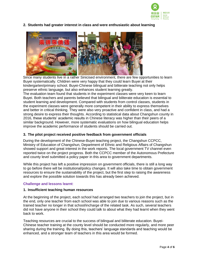

**2. Students had greater interest in class and were enthusiastic about learning** 



Since many students live in a rather Sinicised environment, there are few opportunities to learn Buyei systematically. Children were very happy that they could learn Buyei at their kindergarten/primary school. Buyei-Chinese bilingual and biliterate teaching not only helps preserve ethnic language, but also enhances student learning greatly.

The evaluation team found that students in the experiment classes were very keen to learn Buyei. Both teachers and parents believed that bilingual and biliterate education is essential to student learning and development. Compared with students from control classes, students in the experiment classes were generally more competent in their ability to express themselves and better in critical thinking. They were also very proactive and confident in class, and had a strong desire to express their thoughts. According to statistical data about Changshun county in 2016, these students' academic results in Chinese literacy was higher than their peers of a similar background. However, more systematic evaluations on how bilingual education helps improve the academic performance of students should be carried out.

# **3. The pilot project received positive feedback from government officials**

During the development of the Chinese-Buyei teaching project, the Changshun CCPCC, Ministry of Education of Changshun, Department of Ethnic and Religious Affairs of Changshun showed support and great interest in the work reports. The local government TV channel even reported twice on the project progress. Both the CCPCC member of the Autonomous Prefecture and county level submitted a policy paper in this area to government departments.

While this project has left a positive impression on government officials, there is still a long way to go before there will be institutional/policy changes. It will also take time to obtain government resources to ensure the sustainability of the project, but the first step to raising the awareness and explore the possible solution towards this has already been achieved.

# **Challenge and lessons learnt**:

# **1. Insufficient teaching human resources**

At the beginning of the project, each school had arranged two teachers to join the project, but in the end, only one teacher from each school was able to join due to various reasons such as the trained teacher no longer in that school/incharge of the related task. As such, several teachers did not have anyone in their school they could talk to about what they had learnt when they went back to work.

Teaching resources are crucial to the success of bilingual and biliterate education. Buyei-Chinese teacher training at the county level should be conducted more regularly, and more peer sharing during the training. By doing this, teachers' language standards and teaching would be enhanced, and a stronger team of teachers in this area would be formed.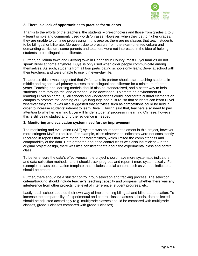

# **2. There is a lack of opportunities to practise for students**

Thanks to the efforts of the teachers, the students – pre-schoolers and those from grades 1 to 3 – learnt simple and commonly used words/phrases. However, when they get to higher grades, they are unable to continue progressing in this area as there are no classes that teach students to be bilingual or biliterate. Moreover, due to pressure from the exam-oriented culture and demanding curriculum, some parents and teachers were not interested in the idea of helping students to be bilingual and biliterate.

Further, at Daihua town and Guyang town in Changshun County, most Buyei families do not speak Buyei at home anymore, Buyei is only used when older people communicate among themselves. As such, students from all four participating schools only learnt Buyei at school with their teachers, and were unable to use it in everyday life.

To address this, it was suggested that Oxfam and its partner should start teaching students in middle and higher-level primary classes to be bilingual and biliterate for a minimum of three years. Teaching and learning models should also be standardised, and a better way to help students learn through trial and error should be developed. To create an environment of learning Buyei on campus, all schools and kindergartens could incorporate cultural elements on campus to promote the learning of Buyei language and culture, so that students can learn Buyei wherever they are. It was also suggested that activities such as competitions could be held in order to increase students' interest to learn Buyei. Having said that, teachers also need to pay attention to whether learning Buyei will hinder students' progress in learning Chinese, however, this is still being studied and further evidence is needed.

# **3. Monitoring and evaluation system need further improvement**

The monitoring and evaluation (M&E) system was an important element in this project, however, more stringent M&E is required. For example, class observation indicators were not consistently recorded in reports that were made at different times, which limited the completeness and comparability of the data. Data gathered about the control class was also insufficient – in the original project design, there was little consistent data about the experimental class and control class.

To better ensure the data's effectiveness, the project should have more systematic indicators and data collection methods, and it should track progress and report it more systematically. For example, a class observation template that includes crucial content such as various indicators should be created.

Further, there should be a stricter control group selection and tracking process. The selection criteria/tracking should include teacher's teaching capacity and progress, whether there was any interference from other projects, the level of interference, student progress, etc.

Lastly, each school adopted their own way of implementing bilingual and biliterate education. To increase the comparability of experimental and control classes across schools, data collected should be adjusted accordingly (e.g. multigrade classes should be compared with multigrade classes, grade 1 classes compared with grade 1 classes).